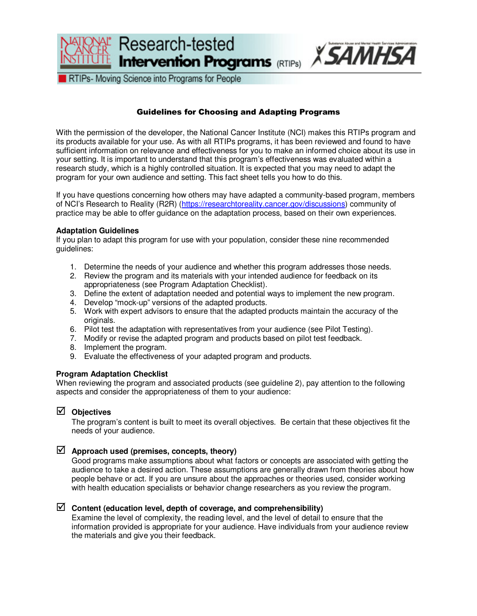

RTIPs- Moving Science into Programs for People

# Guidelines for Choosing and Adapting Programs

With the permission of the developer, the National Cancer Institute (NCI) makes this RTIPs program and its products available for your use. As with all RTIPs programs, it has been reviewed and found to have sufficient information on relevance and effectiveness for you to make an informed choice about its use in your setting. It is important to understand that this program's effectiveness was evaluated within a research study, which is a highly controlled situation. It is expected that you may need to adapt the program for your own audience and setting. This fact sheet tells you how to do this.

If you have questions concerning how others may have adapted a community-based program, members of NCI's Research to Reality (R2R) [\(https://researchtoreality.cancer.gov/discussions\)](https://researchtoreality.cancer.gov/discussions) community of practice may be able to offer guidance on the adaptation process, based on their own experiences.

#### **Adaptation Guidelines**

If you plan to adapt this program for use with your population, consider these nine recommended guidelines:

- 1. Determine the needs of your audience and whether this program addresses those needs.
- 2. Review the program and its materials with your intended audience for feedback on its appropriateness (see Program Adaptation Checklist).
- 3. Define the extent of adaptation needed and potential ways to implement the new program.
- 4. Develop "mock-up" versions of the adapted products.
- 5. Work with expert advisors to ensure that the adapted products maintain the accuracy of the originals.
- 6. Pilot test the adaptation with representatives from your audience (see Pilot Testing).
- 7. Modify or revise the adapted program and products based on pilot test feedback.
- 8. Implement the program.
- 9. Evaluate the effectiveness of your adapted program and products.

### **Program Adaptation Checklist**

When reviewing the program and associated products (see guideline 2), pay attention to the following aspects and consider the appropriateness of them to your audience:

### **Objectives**

The program's content is built to meet its overall objectives. Be certain that these objectives fit the needs of your audience.

## **Approach used (premises, concepts, theory)**

Good programs make assumptions about what factors or concepts are associated with getting the audience to take a desired action. These assumptions are generally drawn from theories about how people behave or act. If you are unsure about the approaches or theories used, consider working with health education specialists or behavior change researchers as you review the program.

### **Content (education level, depth of coverage, and comprehensibility)**

Examine the level of complexity, the reading level, and the level of detail to ensure that the information provided is appropriate for your audience. Have individuals from your audience review the materials and give you their feedback.